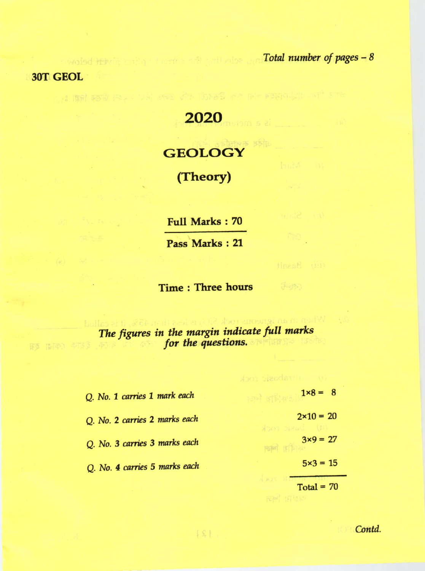woled that is the solution of the state of pages - 8

ão.

tinead (ii)

 $\mathcal{J}(\mathcal{P}_\mathcal{D})$ 

3OT GEOL

西西 临阳的 中国家

2020

ants fru abytantin se Band of the Core of the straight and

## **GEOLOGY**

(Theory)

Full Marks:70

Pass Marke : 21

Time : Three hours

The figures in the margin indicate full marks fot the questions,

| Q. No. 1 carries 1 mark each  | $1 \times 8 = 8$                    |
|-------------------------------|-------------------------------------|
| Q. No. 2 carries 2 marks each | $2 \times 10 = 20$<br>Xon DiRad (B) |
| Q. No. 3 carries 3 marks each | $3x9 = 27$                          |
| Q. No. 4 carries 5 marks each | $5 \times 3 = 15$                   |
|                               | $T = 1 - T$                         |

 $|S|$ .

 $Total = 70$ 

Contd.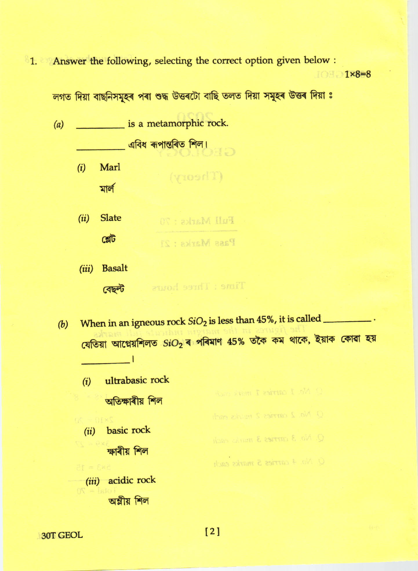<sup>8</sup>1. Answer the following, selecting the correct option given below :

 $108 - 1 \times 8 = 8$ 

লগত দিয়া বাছনিসমূহৰ পৰা শুদ্ধ উত্তৰটো বাছি তলত দিয়া সমূহৰ উত্তৰ দিয়া ঃ

(Theory)

Time: Three hours

is a metamorphic rock.  $(a)$  $\frac{1}{\sqrt{2}}$  এবিধ ৰূপান্তৰিত শিল।

- $(i)$ Marl মাৰ্ল
- **Slate**  $(ii)$ Full Marks: 70 ঞ্জৌট Pass Marks: 21
- **Basalt**  $(iii)$ বেছল্ট

- 1

- When in an igneous rock  $SiO<sub>2</sub>$  is less than 45%, it is called  $(b)$ যেতিয়া আগ্নেয়শিলত SiO2ৰ পৰিমাণ 45% তকৈ কম থাকে, ইয়াক কোৱা হয়
	- ultrabasic rock  $(i)$ অতিক্ষাৰীয় শিল Q No. 2 carries 2 marks each basic rock  $(ii)$ O. No. 3 carries 3 marks each ক্ষাৰীয় শিল O No. 4 carries 5 marks each
	- (iii) acidic rock অম্লীয় শিল

30T GEOL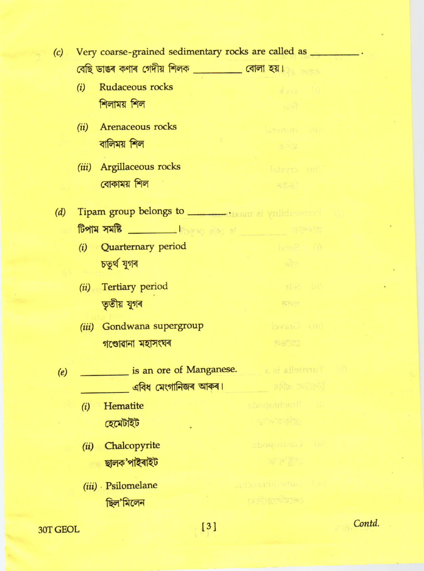| (c) | Very coarse-grained sedimentary rocks are called as |                                                                                                                                 |                 |  |
|-----|-----------------------------------------------------|---------------------------------------------------------------------------------------------------------------------------------|-----------------|--|
|     |                                                     | বেছি ডাঙৰ কণাৰ গেদীয় শিলক __________ বোলা হয়।                                                                                 |                 |  |
|     | (i)                                                 | Rudaceous rocks                                                                                                                 | x               |  |
|     |                                                     | শিলাময় শিল                                                                                                                     | $m_0$ and       |  |
|     | (ii)                                                | Arenaceous rocks                                                                                                                | in mineral      |  |
|     |                                                     | বালিময় শিল                                                                                                                     | 泰克区             |  |
|     |                                                     |                                                                                                                                 |                 |  |
|     |                                                     | (iii) Argillaceous rocks                                                                                                        | find crystal    |  |
|     |                                                     | বোকাময় শিল                                                                                                                     | $\overline{m}$  |  |
| (d) |                                                     | Tipam group belongs to _________ dixsm at villideoment to                                                                       |                 |  |
|     |                                                     | $\frac{1}{\sqrt{2}}$ . The state $\frac{1}{\sqrt{2}}$ is the state of $\frac{1}{\sqrt{2}}$ is the state of $\frac{1}{\sqrt{2}}$ |                 |  |
|     |                                                     | (i) Quarternary period                                                                                                          | (i) Satid       |  |
|     |                                                     | চতুৰ্থ যুগৰ                                                                                                                     | चीह             |  |
|     |                                                     | (ii) Tertiary period                                                                                                            | 市 5位            |  |
|     |                                                     | তৃতীয় যুগৰ                                                                                                                     | <b>REE</b>      |  |
|     |                                                     |                                                                                                                                 |                 |  |
|     | (iii)                                               | Gondwana supergroup                                                                                                             | (iii) Gravel    |  |
|     |                                                     | গণ্ডোৱানা মহাসংঘৰ                                                                                                               | $F = 55$        |  |
| (e) |                                                     | is an ore of Manganese.                                                                                                         |                 |  |
|     |                                                     | <b>এবিধ মেংগানিজৰ আকৰ।</b> ১৯৭১ সংগ্ৰহ আৰু বিধ                                                                                  |                 |  |
|     |                                                     | (i) Hematite abogoids and the contract of                                                                                       |                 |  |
|     |                                                     | হেমেটাইট                                                                                                                        | <b>PO PO DE</b> |  |
|     | (ii)                                                | Chalcopyrite                                                                                                                    | sbogostes.) (sr |  |
|     |                                                     | ছালক'পাইৰাইট                                                                                                                    | ie ie gieu      |  |
|     |                                                     |                                                                                                                                 |                 |  |
|     |                                                     | (iii) Psilomelane                                                                                                               | und Lameldian   |  |
|     |                                                     | ছিল'মিলেন                                                                                                                       | EXPORTS (C)     |  |
|     |                                                     |                                                                                                                                 |                 |  |

30T GEOL

Contd.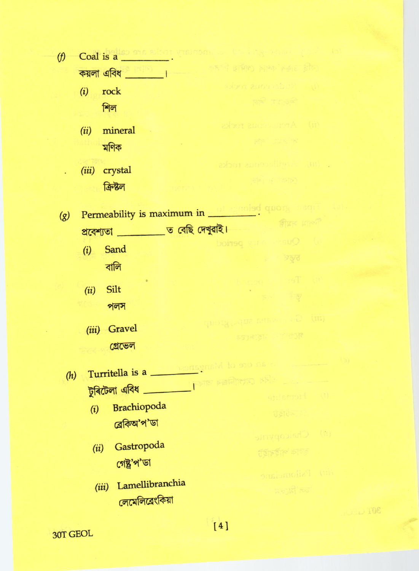| $\varphi$                                                       | Coal is a contract visitors of the company of the company of the company of the company of the company of the company |                                                                                                                                                                                                      |  |  |
|-----------------------------------------------------------------|-----------------------------------------------------------------------------------------------------------------------|------------------------------------------------------------------------------------------------------------------------------------------------------------------------------------------------------|--|--|
|                                                                 | $\frac{1}{2}$ কয়লা এবিধ $\frac{1}{2}$                                                                                | कर पे हाशिश शाका हेक्का है कि                                                                                                                                                                        |  |  |
|                                                                 | rock<br>(i)                                                                                                           | (i) Rigor early recks                                                                                                                                                                                |  |  |
|                                                                 | শিল                                                                                                                   | <b>REPORT REPORT</b>                                                                                                                                                                                 |  |  |
|                                                                 | mineral<br>(ii)                                                                                                       | axbor aucon norA (ii)                                                                                                                                                                                |  |  |
|                                                                 | মণিক                                                                                                                  | References                                                                                                                                                                                           |  |  |
|                                                                 | crystal<br>(iii)                                                                                                      | abor anonslitera un                                                                                                                                                                                  |  |  |
|                                                                 | ক্ৰিষ্টল                                                                                                              | and a carp                                                                                                                                                                                           |  |  |
| $\left( g\right)$                                               | Permeability is maximum in the sense of quong and                                                                     |                                                                                                                                                                                                      |  |  |
|                                                                 | প্ৰবেশ্যতা ___________ ত বেছি দেখুৱাই। কাজৰ বিষয়া কৰিব কৰি কৰি কৰি কৰি বিষয়া কৰি কৰি কৰি কৰি কৰি কৰি কৰি কৰি        |                                                                                                                                                                                                      |  |  |
|                                                                 | Sand<br>(i)                                                                                                           | (i) Quartis particularly period                                                                                                                                                                      |  |  |
|                                                                 | বালি                                                                                                                  | $\sim$ $\sim$ $\sim$ $\sim$ $\sim$ $\sim$                                                                                                                                                            |  |  |
|                                                                 |                                                                                                                       | the Terms peach                                                                                                                                                                                      |  |  |
|                                                                 | Silt<br>(ii)                                                                                                          | a se by                                                                                                                                                                                              |  |  |
| $\mathfrak{N}(\mathbb{C})$<br>পলস<br>(iii) Gala wana supergroup |                                                                                                                       |                                                                                                                                                                                                      |  |  |
|                                                                 | (iii) Gravel<br>Francis Princip                                                                                       |                                                                                                                                                                                                      |  |  |
|                                                                 | <u>গ্রেভেল</u>                                                                                                        |                                                                                                                                                                                                      |  |  |
| Turritella is a second proposal to ano on the second            |                                                                                                                       |                                                                                                                                                                                                      |  |  |
| (h)                                                             | টুৰিটেলা এবিধ                                                                                                         | वंशि काश्मानिकत जाकन्                                                                                                                                                                                |  |  |
|                                                                 |                                                                                                                       | (i) Fierratite                                                                                                                                                                                       |  |  |
|                                                                 | Brachiopoda<br>(i)<br>ব্ৰেকিঅ'প'ডা                                                                                    | Uside St                                                                                                                                                                                             |  |  |
|                                                                 |                                                                                                                       | (f) Chaicopyrite                                                                                                                                                                                     |  |  |
|                                                                 | Gastropoda<br>(ii)                                                                                                    | ৰ্ব্তাৰ্ছাৰ কাৰ্য্য                                                                                                                                                                                  |  |  |
|                                                                 | গেষ্ট্ৰ'প'ডা                                                                                                          |                                                                                                                                                                                                      |  |  |
|                                                                 | Lamellibranchia<br>(iii)                                                                                              | im) Psilomelane                                                                                                                                                                                      |  |  |
|                                                                 | লেমেলিবেংকিয়া                                                                                                        | हिला है। इस स्थान के साथ स्थान करने से स्थान करने से स्थान करने से स्थान करने हैं।<br>स्थान के बाद स्थान करने के साथ स्थान करने के साथ स्थान करने के साथ स्थान करने के साथ स्थान करने के साथ स्थान क |  |  |
|                                                                 |                                                                                                                       |                                                                                                                                                                                                      |  |  |

30T GEOL

 $[4]$ 

TOE